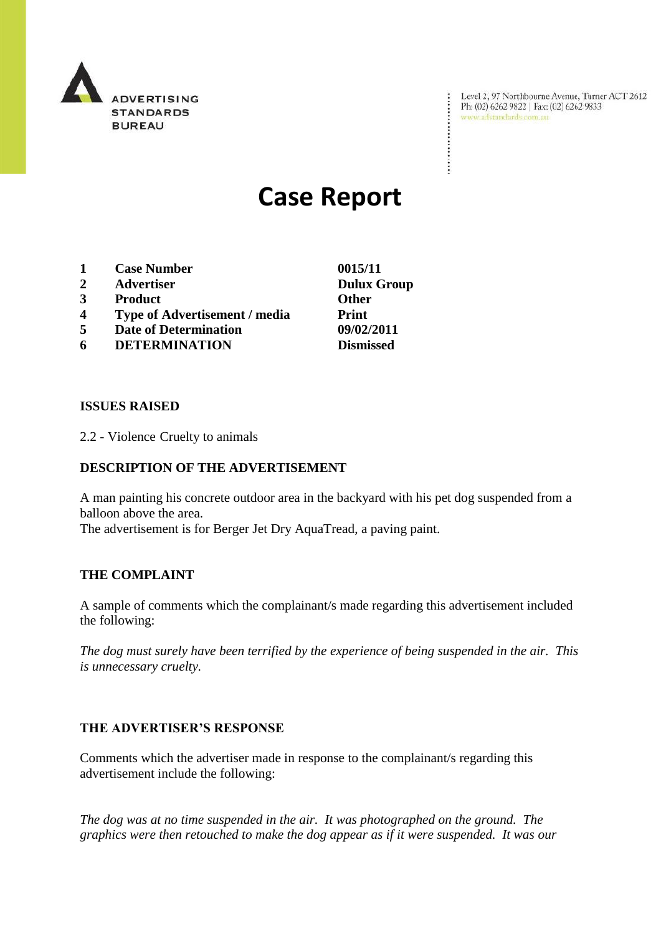

Level 2, 97 Northbourne Avenue, Turner ACT 2612<br>Ph: (02) 6262 9822 | Fax: (02) 6262 9833<br>www.adstandards.com.au

÷

# **Case Report**

- **1 Case Number 0015/11**
- **2 Advertiser Dulux Group**
- **3 Product Other**
- **4 Type of Advertisement / media Print**
- **5 Date of Determination 09/02/2011**
- **6 DETERMINATION Dismissed**

**ISSUES RAISED**

2.2 - Violence Cruelty to animals

### **DESCRIPTION OF THE ADVERTISEMENT**

A man painting his concrete outdoor area in the backyard with his pet dog suspended from a balloon above the area.

The advertisement is for Berger Jet Dry AquaTread, a paving paint.

## **THE COMPLAINT**

A sample of comments which the complainant/s made regarding this advertisement included the following:

*The dog must surely have been terrified by the experience of being suspended in the air. This is unnecessary cruelty.*

#### **THE ADVERTISER'S RESPONSE**

Comments which the advertiser made in response to the complainant/s regarding this advertisement include the following:

*The dog was at no time suspended in the air. It was photographed on the ground. The graphics were then retouched to make the dog appear as if it were suspended. It was our*